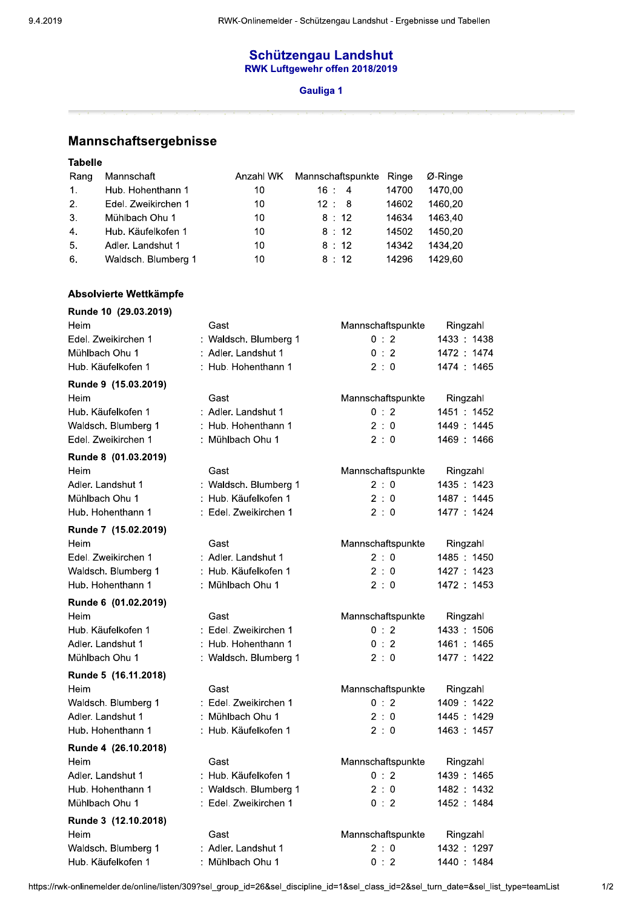## Schützengau Landshut<br>RWK Luftgewehr offen 2018/2019

## Gauliga 1

Mannschaftsergebnisse

**Tabelle** 

| Rang           | Mannschaft          | Anzahl WK | Mannschaftspunkte Ringe |       | Ø-Ringe |
|----------------|---------------------|-----------|-------------------------|-------|---------|
| 1 <sub>1</sub> | Hub. Hohenthann 1   | 10        | $16 \t 4$               | 14700 | 1470.00 |
| 2.             | Edel. Zweikirchen 1 | 10        | 12 : 8                  | 14602 | 1460.20 |
| 3.             | Mühlbach Ohu 1      | 10        | 8:12                    | 14634 | 1463.40 |
| 4.             | Hub. Käufelkofen 1  | 10        | 8:12                    | 14502 | 1450.20 |
| 5.             | Adler. Landshut 1   | 10        | 8:12                    | 14342 | 1434.20 |
| -6.            | Waldsch. Blumberg 1 | 10        | 8:12                    | 14296 | 1429.60 |

## Absolvierte Wettkämpfe

| Runde 10 (29.03.2019) |                       |                   |             |
|-----------------------|-----------------------|-------------------|-------------|
| Heim                  | Gast                  | Mannschaftspunkte | Ringzahl    |
| Edel. Zweikirchen 1   | : Waldsch. Blumberg 1 | 0:2               | 1433: 1438  |
| Mühlbach Ohu 1        | : Adler. Landshut 1   | 0:2               | 1472 : 1474 |
| Hub. Käufelkofen 1    | : Hub. Hohenthann 1   | 2:0               | 1474 : 1465 |
| Runde 9 (15.03.2019)  |                       |                   |             |
| Heim                  | Gast                  | Mannschaftspunkte | Ringzahl    |
| Hub. Käufelkofen 1    | : Adler. Landshut 1   | 0:2               | 1451 : 1452 |
| Waldsch. Blumberg 1   | : Hub. Hohenthann 1   | 2:0               | 1449: 1445  |
| Edel. Zweikirchen 1   | : Mühlbach Ohu 1      | 2:0               | 1469: 1466  |
| Runde 8 (01.03.2019)  |                       |                   |             |
| Heim                  | Gast                  | Mannschaftspunkte | Ringzahl    |
| Adler. Landshut 1     | : Waldsch. Blumberg 1 | 2:0               | 1435: 1423  |
| Mühlbach Ohu 1        | : Hub. Käufelkofen 1  | 2:0               | 1487 : 1445 |
| Hub. Hohenthann 1     | : Edel. Zweikirchen 1 | 2:0               | 1477 : 1424 |
| Runde 7 (15.02.2019)  |                       |                   |             |
| Heim                  | Gast                  | Mannschaftspunkte | Ringzahl    |
| Edel. Zweikirchen 1   | : Adler. Landshut 1   | 2:0               | 1485: 1450  |
| Waldsch. Blumberg 1   | : Hub. Käufelkofen 1  | 2:0               | 1427: 1423  |
| Hub. Hohenthann 1     | : Mühlbach Ohu 1      | 2:0               | 1472 : 1453 |
| Runde 6 (01.02.2019)  |                       |                   |             |
| Heim                  | Gast                  | Mannschaftspunkte | Ringzahl    |
| Hub. Käufelkofen 1    | : Edel. Zweikirchen 1 | 0:2               | 1433: 1506  |
| Adler. Landshut 1     | : Hub. Hohenthann 1   | 0:2               | 1461 : 1465 |
| Mühlbach Ohu 1        | : Waldsch. Blumberg 1 | 2:0               | 1477: 1422  |
| Runde 5 (16.11.2018)  |                       |                   |             |
| Heim                  | Gast                  | Mannschaftspunkte | Ringzahl    |
| Waldsch. Blumberg 1   | : Edel. Zweikirchen 1 | 0:2               | 1409: 1422  |
| Adler. Landshut 1     | : Mühlbach Ohu 1      | 2:0               | 1445: 1429  |
| Hub. Hohenthann 1     | : Hub. Käufelkofen 1  | 2:0               | 1463 : 1457 |
| Runde 4 (26.10.2018)  |                       |                   |             |
| Heim                  | Gast                  | Mannschaftspunkte | Ringzahl    |
| Adler. Landshut 1     | : Hub. Käufelkofen 1  | 0:2               | 1439: 1465  |
| Hub. Hohenthann 1     | : Waldsch. Blumberg 1 | 2:0               | 1482 : 1432 |
| Mühlbach Ohu 1        | : Edel. Zweikirchen 1 | 0:2               | 1452 : 1484 |
| Runde 3 (12.10.2018)  |                       |                   |             |
| Heim                  | Gast                  | Mannschaftspunkte | Ringzahl    |
| Waldsch. Blumberg 1   | : Adler. Landshut 1   | 2:0               | 1432: 1297  |
| Hub. Käufelkofen 1    | Mühlbach Ohu 1        | 0:2               | 1440: 1484  |